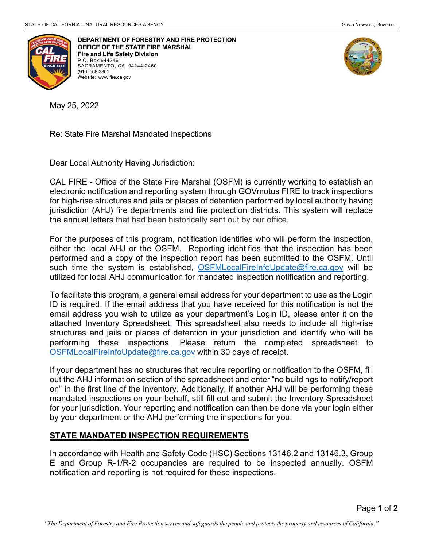

**DEPARTMENT OF FORESTRY AND FIRE PROTECTION OFFICE OF THE STATE FIRE MARSHAL Fire and Life Safety Division** P.O. Box 944246 SACRAMENTO, CA 94244-2460 (916) 568-3801 Website: [www.fire.ca.gov](http://www.fire.ca.gov/)



May 25, 2022

Re: State Fire Marshal Mandated Inspections

Dear Local Authority Having Jurisdiction:

CAL FIRE - Office of the State Fire Marshal (OSFM) is currently working to establish an electronic notification and reporting system through GOVmotus FIRE to track inspections for high-rise structures and jails or places of detention performed by local authority having jurisdiction (AHJ) fire departments and fire protection districts. This system will replace the annual letters that had been historically sent out by our office.

For the purposes of this program, notification identifies who will perform the inspection, either the local AHJ or the OSFM. Reporting identifies that the inspection has been performed and a copy of the inspection report has been submitted to the OSFM. Until such time the system is established, [OSFMLocalFireInfoUpdate@fire.ca.gov](mailto:OSFMLocalFireInfoUpdate@fire.ca.gov) will be utilized for local AHJ communication for mandated inspection notification and reporting.

To facilitate this program, a general email address for your department to use as the Login ID is required. If the email address that you have received for this notification is not the email address you wish to utilize as your department's Login ID, please enter it on the attached Inventory Spreadsheet. This spreadsheet also needs to include all high-rise structures and jails or places of detention in your jurisdiction and identify who will be performing these inspections. Please return the completed spreadsheet to [OSFMLocalFireInfoUpdate@fire.ca.gov](mailto:OSFMLocalFireInfoUpdate@fire.ca.gov) within 30 days of receipt.

If your department has no structures that require reporting or notification to the OSFM, fill out the AHJ information section of the spreadsheet and enter "no buildings to notify/report on" in the first line of the inventory. Additionally, if another AHJ will be performing these mandated inspections on your behalf, still fill out and submit the Inventory Spreadsheet for your jurisdiction. Your reporting and notification can then be done via your login either by your department or the AHJ performing the inspections for you.

## **STATE MANDATED INSPECTION REQUIREMENTS**

In accordance with Health and Safety Code (HSC) Sections 13146.2 and 13146.3, Group E and Group R-1/R-2 occupancies are required to be inspected annually. OSFM notification and reporting is not required for these inspections.